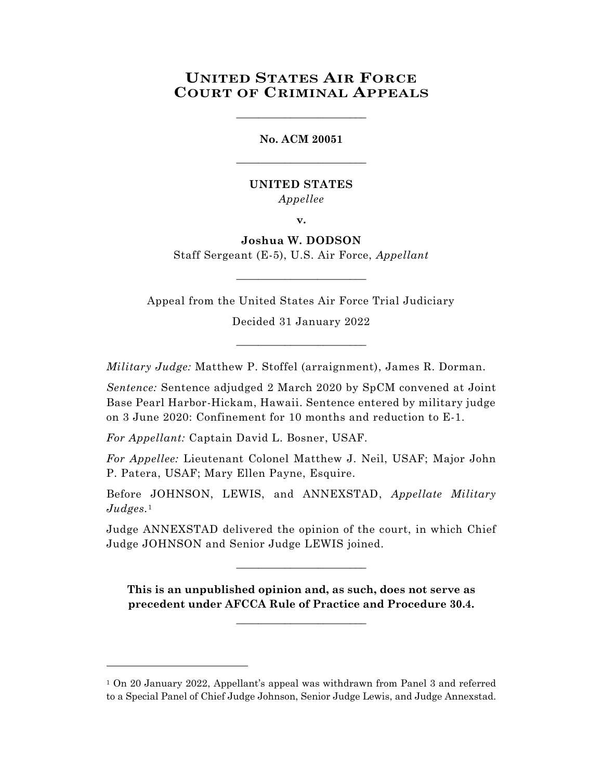# **UNITED STATES AIR FORCE COURT OF CRIMINAL APPEALS**

\_\_\_\_\_\_\_\_\_\_\_\_\_\_\_\_\_\_\_\_\_\_\_\_

**No. ACM 20051** \_\_\_\_\_\_\_\_\_\_\_\_\_\_\_\_\_\_\_\_\_\_\_\_

## **UNITED STATES** *Appellee*

**v.**

## **Joshua W. DODSON** Staff Sergeant (E-5), U.S. Air Force, *Appellant*

Appeal from the United States Air Force Trial Judiciary

\_\_\_\_\_\_\_\_\_\_\_\_\_\_\_\_\_\_\_\_\_\_\_\_

Decided 31 January 2022

\_\_\_\_\_\_\_\_\_\_\_\_\_\_\_\_\_\_\_\_\_\_\_\_

*Military Judge:* Matthew P. Stoffel (arraignment), James R. Dorman.

*Sentence:* Sentence adjudged 2 March 2020 by SpCM convened at Joint Base Pearl Harbor-Hickam, Hawaii. Sentence entered by military judge on 3 June 2020: Confinement for 10 months and reduction to E-1.

*For Appellant:* Captain David L. Bosner, USAF.

l

*For Appellee:* Lieutenant Colonel Matthew J. Neil, USAF; Major John P. Patera, USAF; Mary Ellen Payne, Esquire.

Before JOHNSON, LEWIS, and ANNEXSTAD, *Appellate Military Judges.* 1

Judge ANNEXSTAD delivered the opinion of the court, in which Chief Judge JOHNSON and Senior Judge LEWIS joined.

\_\_\_\_\_\_\_\_\_\_\_\_\_\_\_\_\_\_\_\_\_\_\_\_

**This is an unpublished opinion and, as such, does not serve as precedent under AFCCA Rule of Practice and Procedure 30.4.**

**\_\_\_\_\_\_\_\_\_\_\_\_\_\_\_\_\_\_\_\_\_\_\_\_**

<sup>1</sup> On 20 January 2022, Appellant's appeal was withdrawn from Panel 3 and referred to a Special Panel of Chief Judge Johnson, Senior Judge Lewis, and Judge Annexstad.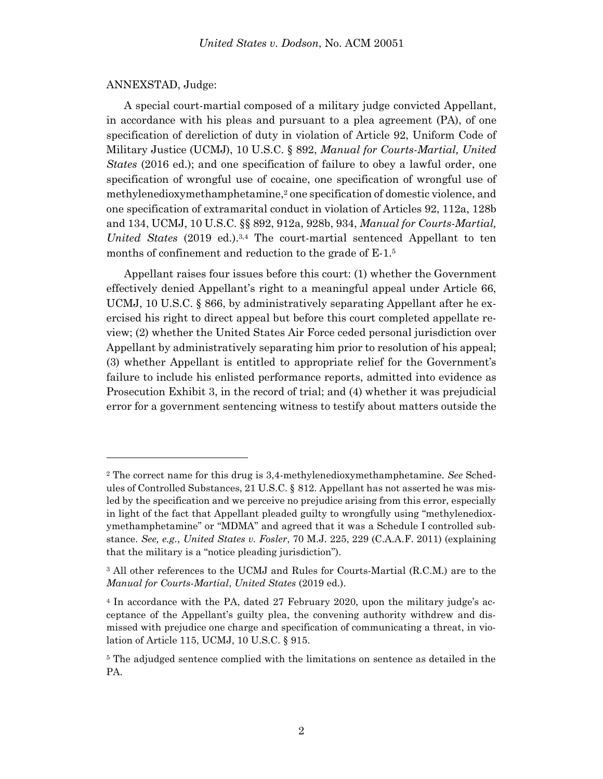#### ANNEXSTAD, Judge:

A special court-martial composed of a military judge convicted Appellant, in accordance with his pleas and pursuant to a plea agreement (PA), of one specification of dereliction of duty in violation of Article 92, Uniform Code of Military Justice (UCMJ), 10 U.S.C. § 892, *Manual for Courts-Martial, United States* (2016 ed.); and one specification of failure to obey a lawful order, one specification of wrongful use of cocaine, one specification of wrongful use of methylenedioxymethamphetamine, <sup>2</sup> one specification of domestic violence, and one specification of extramarital conduct in violation of Articles 92, 112a, 128b and 134, UCMJ, 10 U.S.C. §§ 892, 912a, 928b, 934, *Manual for Courts-Martial, United States* (2019 ed.). 3,4 The court-martial sentenced Appellant to ten months of confinement and reduction to the grade of  $E-1<sup>5</sup>$ 

Appellant raises four issues before this court: (1) whether the Government effectively denied Appellant's right to a meaningful appeal under Article 66, UCMJ, 10 U.S.C. § 866, by administratively separating Appellant after he exercised his right to direct appeal but before this court completed appellate review; (2) whether the United States Air Force ceded personal jurisdiction over Appellant by administratively separating him prior to resolution of his appeal; (3) whether Appellant is entitled to appropriate relief for the Government's failure to include his enlisted performance reports, admitted into evidence as Prosecution Exhibit 3, in the record of trial; and (4) whether it was prejudicial error for a government sentencing witness to testify about matters outside the

<sup>2</sup> The correct name for this drug is 3,4-methylenedioxymethamphetamine. *See* Schedules of Controlled Substances, 21 U.S.C. § 812. Appellant has not asserted he was misled by the specification and we perceive no prejudice arising from this error, especially in light of the fact that Appellant pleaded guilty to wrongfully using "methylenedioxymethamphetamine" or "MDMA" and agreed that it was a Schedule I controlled substance. *See, e.g.*, *United States v. Fosler*, 70 M.J. 225, 229 (C.A.A.F. 2011) (explaining that the military is a "notice pleading jurisdiction").

<sup>3</sup> All other references to the UCMJ and Rules for Courts-Martial (R.C.M.) are to the *Manual for Courts-Martial*, *United States* (2019 ed.).

<sup>4</sup> In accordance with the PA, dated 27 February 2020, upon the military judge's acceptance of the Appellant's guilty plea, the convening authority withdrew and dismissed with prejudice one charge and specification of communicating a threat, in violation of Article 115, UCMJ, 10 U.S.C. § 915.

<sup>&</sup>lt;sup>5</sup> The adjudged sentence complied with the limitations on sentence as detailed in the PA.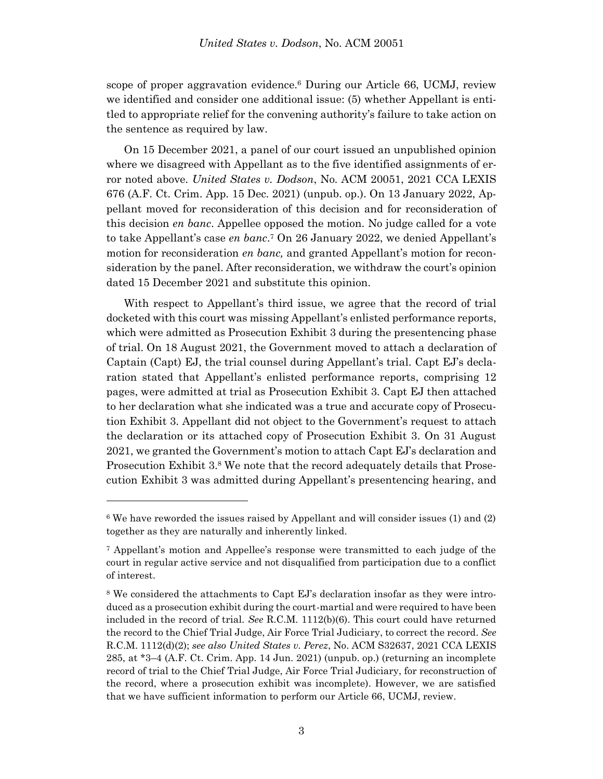scope of proper aggravation evidence.<sup>6</sup> During our Article 66, UCMJ, review we identified and consider one additional issue: (5) whether Appellant is entitled to appropriate relief for the convening authority's failure to take action on the sentence as required by law.

On 15 December 2021, a panel of our court issued an unpublished opinion where we disagreed with Appellant as to the five identified assignments of error noted above. *United States v. Dodson*, No. ACM 20051, 2021 CCA LEXIS 676 (A.F. Ct. Crim. App. 15 Dec. 2021) (unpub. op.). On 13 January 2022, Appellant moved for reconsideration of this decision and for reconsideration of this decision *en banc*. Appellee opposed the motion. No judge called for a vote to take Appellant's case *en banc*. <sup>7</sup> On 26 January 2022, we denied Appellant's motion for reconsideration *en banc,* and granted Appellant's motion for reconsideration by the panel. After reconsideration, we withdraw the court's opinion dated 15 December 2021 and substitute this opinion.

With respect to Appellant's third issue, we agree that the record of trial docketed with this court was missing Appellant's enlisted performance reports, which were admitted as Prosecution Exhibit 3 during the presentencing phase of trial. On 18 August 2021, the Government moved to attach a declaration of Captain (Capt) EJ, the trial counsel during Appellant's trial. Capt EJ's declaration stated that Appellant's enlisted performance reports, comprising 12 pages, were admitted at trial as Prosecution Exhibit 3. Capt EJ then attached to her declaration what she indicated was a true and accurate copy of Prosecution Exhibit 3. Appellant did not object to the Government's request to attach the declaration or its attached copy of Prosecution Exhibit 3. On 31 August 2021, we granted the Government's motion to attach Capt EJ's declaration and Prosecution Exhibit 3.<sup>8</sup> We note that the record adequately details that Prosecution Exhibit 3 was admitted during Appellant's presentencing hearing, and

l

<sup>6</sup> We have reworded the issues raised by Appellant and will consider issues (1) and (2) together as they are naturally and inherently linked.

<sup>7</sup> Appellant's motion and Appellee's response were transmitted to each judge of the court in regular active service and not disqualified from participation due to a conflict of interest.

<sup>8</sup> We considered the attachments to Capt EJ's declaration insofar as they were introduced as a prosecution exhibit during the court-martial and were required to have been included in the record of trial. *See* R.C.M. 1112(b)(6). This court could have returned the record to the Chief Trial Judge, Air Force Trial Judiciary, to correct the record. *See* R.C.M. 1112(d)(2); *see also United States v. Perez*, No. ACM S32637, 2021 CCA LEXIS 285, at \*3–4 (A.F. Ct. Crim. App. 14 Jun. 2021) (unpub. op.) (returning an incomplete record of trial to the Chief Trial Judge, Air Force Trial Judiciary, for reconstruction of the record, where a prosecution exhibit was incomplete). However, we are satisfied that we have sufficient information to perform our Article 66, UCMJ, review.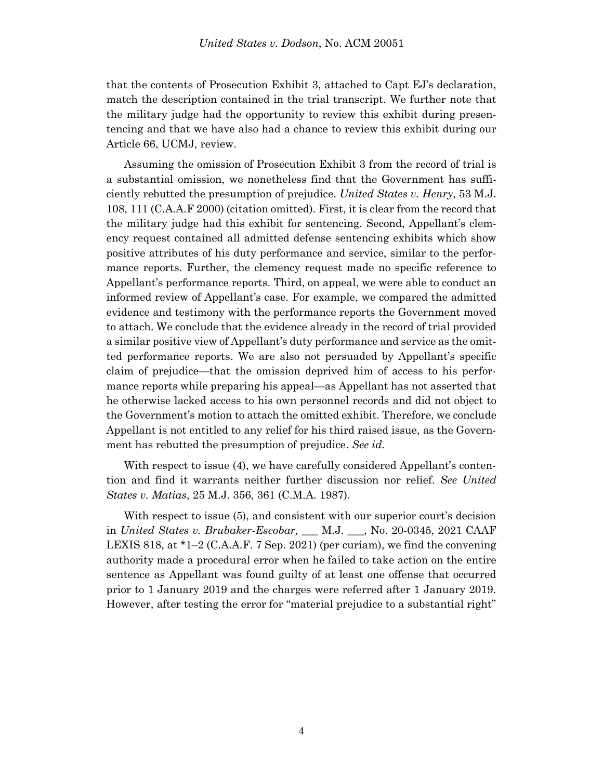that the contents of Prosecution Exhibit 3, attached to Capt EJ's declaration, match the description contained in the trial transcript. We further note that the military judge had the opportunity to review this exhibit during presentencing and that we have also had a chance to review this exhibit during our Article 66, UCMJ, review.

Assuming the omission of Prosecution Exhibit 3 from the record of trial is a substantial omission, we nonetheless find that the Government has sufficiently rebutted the presumption of prejudice. *United States v. Henry*, 53 M.J. 108, 111 (C.A.A.F 2000) (citation omitted). First, it is clear from the record that the military judge had this exhibit for sentencing. Second, Appellant's clemency request contained all admitted defense sentencing exhibits which show positive attributes of his duty performance and service, similar to the performance reports. Further, the clemency request made no specific reference to Appellant's performance reports. Third, on appeal, we were able to conduct an informed review of Appellant's case. For example, we compared the admitted evidence and testimony with the performance reports the Government moved to attach. We conclude that the evidence already in the record of trial provided a similar positive view of Appellant's duty performance and service as the omitted performance reports. We are also not persuaded by Appellant's specific claim of prejudice—that the omission deprived him of access to his performance reports while preparing his appeal—as Appellant has not asserted that he otherwise lacked access to his own personnel records and did not object to the Government's motion to attach the omitted exhibit. Therefore, we conclude Appellant is not entitled to any relief for his third raised issue, as the Government has rebutted the presumption of prejudice. *See id.*

With respect to issue (4), we have carefully considered Appellant's contention and find it warrants neither further discussion nor relief. *See United States v. Matias*, 25 M.J. 356, 361 (C.M.A. 1987).

With respect to issue (5), and consistent with our superior court's decision in *United States v. Brubaker-Escobar, \_*\_\_ M.J. \_\_\_, No. 20-0345, 2021 CAAF LEXIS 818, at  $*1-2$  (C.A.A.F. 7 Sep. 2021) (per curiam), we find the convening authority made a procedural error when he failed to take action on the entire sentence as Appellant was found guilty of at least one offense that occurred prior to 1 January 2019 and the charges were referred after 1 January 2019. However, after testing the error for "material prejudice to a substantial right"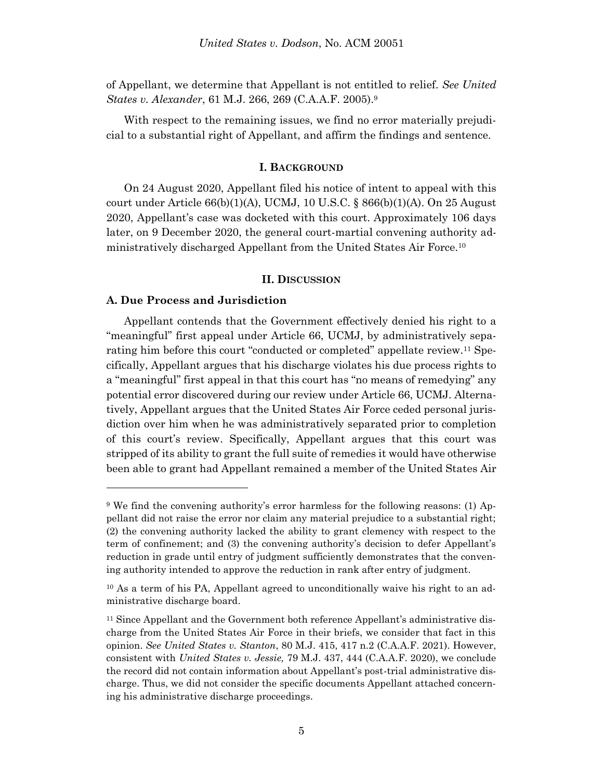of Appellant, we determine that Appellant is not entitled to relief. *See United States v. Alexander*, 61 M.J. 266, 269 (C.A.A.F. 2005).<sup>9</sup>

With respect to the remaining issues, we find no error materially prejudicial to a substantial right of Appellant, and affirm the findings and sentence.

#### **I. BACKGROUND**

On 24 August 2020, Appellant filed his notice of intent to appeal with this court under Article  $66(b)(1)(A)$ , UCMJ, 10 U.S.C. §  $866(b)(1)(A)$ . On 25 August 2020, Appellant's case was docketed with this court. Approximately 106 days later, on 9 December 2020, the general court-martial convening authority administratively discharged Appellant from the United States Air Force.<sup>10</sup>

#### **II. DISCUSSION**

### **A. Due Process and Jurisdiction**

l

Appellant contends that the Government effectively denied his right to a "meaningful" first appeal under Article 66, UCMJ, by administratively separating him before this court "conducted or completed" appellate review.<sup>11</sup> Specifically, Appellant argues that his discharge violates his due process rights to a "meaningful" first appeal in that this court has "no means of remedying" any potential error discovered during our review under Article 66, UCMJ. Alternatively, Appellant argues that the United States Air Force ceded personal jurisdiction over him when he was administratively separated prior to completion of this court's review. Specifically, Appellant argues that this court was stripped of its ability to grant the full suite of remedies it would have otherwise been able to grant had Appellant remained a member of the United States Air

<sup>9</sup> We find the convening authority's error harmless for the following reasons: (1) Appellant did not raise the error nor claim any material prejudice to a substantial right; (2) the convening authority lacked the ability to grant clemency with respect to the term of confinement; and (3) the convening authority's decision to defer Appellant's reduction in grade until entry of judgment sufficiently demonstrates that the convening authority intended to approve the reduction in rank after entry of judgment.

<sup>10</sup> As a term of his PA, Appellant agreed to unconditionally waive his right to an administrative discharge board.

<sup>&</sup>lt;sup>11</sup> Since Appellant and the Government both reference Appellant's administrative discharge from the United States Air Force in their briefs, we consider that fact in this opinion. *See United States v. Stanton*, 80 M.J. 415, 417 n.2 (C.A.A.F. 2021). However, consistent with *United States v. Jessie,* 79 M.J. 437, 444 (C.A.A.F. 2020), we conclude the record did not contain information about Appellant's post-trial administrative discharge. Thus, we did not consider the specific documents Appellant attached concerning his administrative discharge proceedings.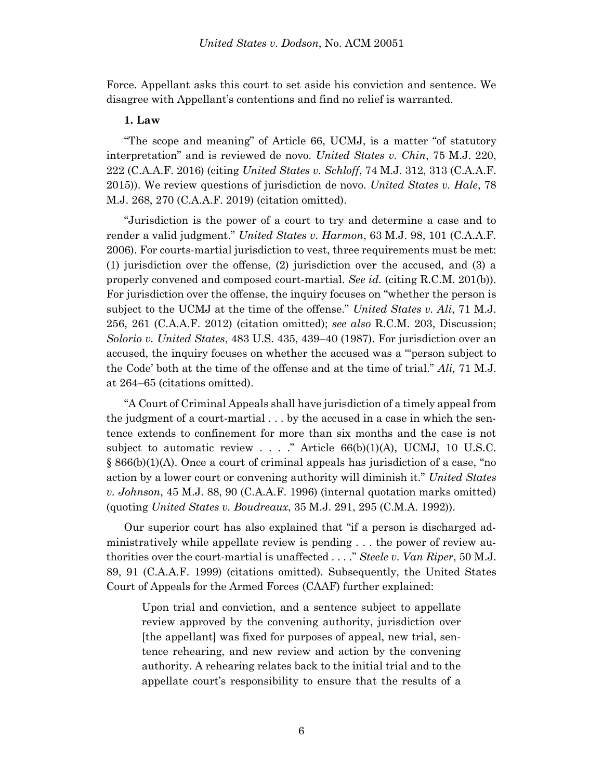Force. Appellant asks this court to set aside his conviction and sentence. We disagree with Appellant's contentions and find no relief is warranted.

## **1. Law**

"The scope and meaning" of Article 66, UCMJ, is a matter "of statutory interpretation" and is reviewed de novo. *United States v. Chin*, 75 M.J. 220, 222 (C.A.A.F. 2016) (citing *United States v. Schloff*, 74 M.J. 312, 313 (C.A.A.F. 2015)). We review questions of jurisdiction de novo. *United States v. Hale*, 78 M.J. 268, 270 (C.A.A.F. 2019) (citation omitted).

"Jurisdiction is the power of a court to try and determine a case and to render a valid judgment." *United States v. Harmon*, 63 M.J. 98, 101 (C.A.A.F. 2006). For courts-martial jurisdiction to vest, three requirements must be met: (1) jurisdiction over the offense, (2) jurisdiction over the accused, and (3) a properly convened and composed court-martial. *See id.* (citing R.C.M. 201(b)). For jurisdiction over the offense, the inquiry focuses on "whether the person is subject to the UCMJ at the time of the offense." *United States v. Ali*, 71 M.J. 256, 261 (C.A.A.F. 2012) (citation omitted); *see also* R.C.M. 203, Discussion; *Solorio v. United States*, 483 U.S. 435, 439–40 (1987). For jurisdiction over an accused, the inquiry focuses on whether the accused was a "'person subject to the Code' both at the time of the offense and at the time of trial." *Ali,* 71 M.J. at 264–65 (citations omitted).

"A Court of Criminal Appeals shall have jurisdiction of a timely appeal from the judgment of a court-martial . . . by the accused in a case in which the sentence extends to confinement for more than six months and the case is not subject to automatic review  $\ldots$  ." Article 66(b)(1)(A), UCMJ, 10 U.S.C.  $\S$  866(b)(1)(A). Once a court of criminal appeals has jurisdiction of a case, "no action by a lower court or convening authority will diminish it." *United States v. Johnson*, 45 M.J. 88, 90 (C.A.A.F. 1996) (internal quotation marks omitted) (quoting *United States v. Boudreaux*, 35 M.J. 291, 295 (C.M.A. 1992)).

Our superior court has also explained that "if a person is discharged administratively while appellate review is pending . . . the power of review authorities over the court-martial is unaffected . . . ." *Steele v. Van Riper*, 50 M.J. 89, 91 (C.A.A.F. 1999) (citations omitted). Subsequently, the United States Court of Appeals for the Armed Forces (CAAF) further explained:

Upon trial and conviction, and a sentence subject to appellate review approved by the convening authority, jurisdiction over [the appellant] was fixed for purposes of appeal, new trial, sentence rehearing, and new review and action by the convening authority. A rehearing relates back to the initial trial and to the appellate court's responsibility to ensure that the results of a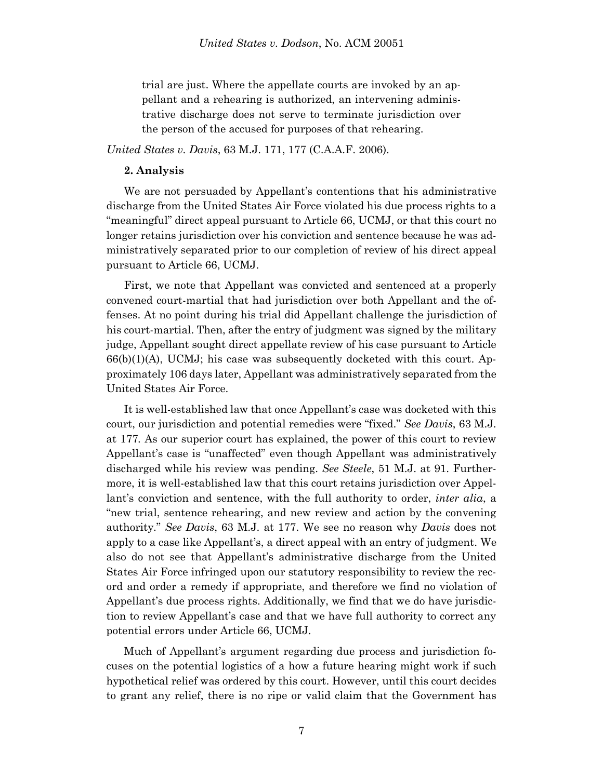trial are just. Where the appellate courts are invoked by an appellant and a rehearing is authorized, an intervening administrative discharge does not serve to terminate jurisdiction over the person of the accused for purposes of that rehearing.

*United States v. Davis*, 63 M.J. 171, 177 (C.A.A.F. 2006).

### **2. Analysis**

We are not persuaded by Appellant's contentions that his administrative discharge from the United States Air Force violated his due process rights to a "meaningful" direct appeal pursuant to Article 66, UCMJ, or that this court no longer retains jurisdiction over his conviction and sentence because he was administratively separated prior to our completion of review of his direct appeal pursuant to Article 66, UCMJ.

First, we note that Appellant was convicted and sentenced at a properly convened court-martial that had jurisdiction over both Appellant and the offenses. At no point during his trial did Appellant challenge the jurisdiction of his court-martial. Then, after the entry of judgment was signed by the military judge, Appellant sought direct appellate review of his case pursuant to Article  $66(b)(1)(A)$ , UCMJ; his case was subsequently docketed with this court. Approximately 106 days later, Appellant was administratively separated from the United States Air Force.

It is well-established law that once Appellant's case was docketed with this court, our jurisdiction and potential remedies were "fixed." *See Davis*, 63 M.J. at 177*.* As our superior court has explained, the power of this court to review Appellant's case is "unaffected" even though Appellant was administratively discharged while his review was pending. *See Steele*, 51 M.J. at 91. Furthermore, it is well-established law that this court retains jurisdiction over Appellant's conviction and sentence, with the full authority to order, *inter alia*, a "new trial, sentence rehearing, and new review and action by the convening authority." *See Davis*, 63 M.J. at 177. We see no reason why *Davis* does not apply to a case like Appellant's, a direct appeal with an entry of judgment. We also do not see that Appellant's administrative discharge from the United States Air Force infringed upon our statutory responsibility to review the record and order a remedy if appropriate, and therefore we find no violation of Appellant's due process rights. Additionally, we find that we do have jurisdiction to review Appellant's case and that we have full authority to correct any potential errors under Article 66, UCMJ.

Much of Appellant's argument regarding due process and jurisdiction focuses on the potential logistics of a how a future hearing might work if such hypothetical relief was ordered by this court. However, until this court decides to grant any relief, there is no ripe or valid claim that the Government has